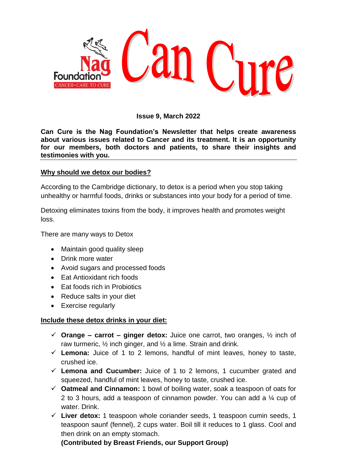

## **Issue 9, March 2022**

**Can Cure is the Nag Foundation's Newsletter that helps create awareness about various issues related to Cancer and its treatment. It is an opportunity for our members, both doctors and patients, to share their insights and testimonies with you.**

## **Why should we detox our bodies?**

According to the Cambridge dictionary, to detox is a period when you stop taking unhealthy or harmful foods, drinks or substances into your body for a period of time.

Detoxing eliminates toxins from the body, it improves health and promotes weight loss.

There are many ways to Detox

- Maintain good quality sleep
- Drink more water
- Avoid sugars and processed foods
- Fat Antioxidant rich foods
- Eat foods rich in Probiotics
- Reduce salts in your diet
- Exercise regularly

## **Include these detox drinks in your diet:**

- **Orange – carrot – ginger detox:** Juice one carrot, two oranges, ½ inch of raw turmeric, ½ inch ginger, and ½ a lime. Strain and drink.
- $\checkmark$  Lemona: Juice of 1 to 2 lemons, handful of mint leaves, honey to taste, crushed ice.
- **Lemona and Cucumber:** Juice of 1 to 2 lemons, 1 cucumber grated and squeezed, handful of mint leaves, honey to taste, crushed ice.
- **Oatmeal and Cinnamon:** 1 bowl of boiling water, soak a teaspoon of oats for 2 to 3 hours, add a teaspoon of cinnamon powder. You can add a ¼ cup of water. Drink.
- **Liver detox:** 1 teaspoon whole coriander seeds, 1 teaspoon cumin seeds, 1 teaspoon saunf (fennel), 2 cups water. Boil till it reduces to 1 glass. Cool and then drink on an empty stomach.

**(Contributed by Breast Friends, our Support Group)**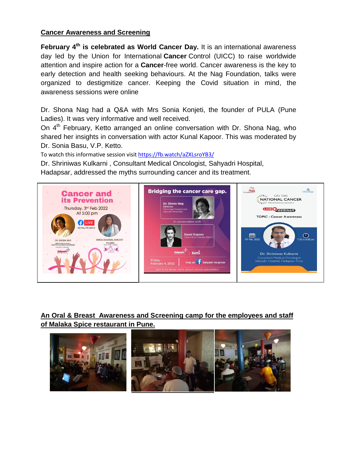# **Cancer Awareness and Screening**

February 4<sup>th</sup> is celebrated as World Cancer Day. It is an international awareness day led by the Union for International **Cancer** Control (UICC) to raise worldwide attention and inspire action for a **Cancer**-free world. Cancer awareness is the key to early detection and health seeking behaviours. At the Nag Foundation, talks were organized to destigmitize cancer. Keeping the Covid situation in mind, the awareness sessions were online

Dr. Shona Nag had a Q&A with Mrs Sonia Konjeti, the founder of PULA (Pune Ladies). It was very informative and well received.

On 4<sup>th</sup> February, Ketto arranged an online conversation with Dr. Shona Nag, who shared her insights in conversation with actor Kunal Kapoor. This was moderated by Dr. Sonia Basu, V.P. Ketto.

To watch this informative session visit<https://fb.watch/aZXLsroYB3/>

Dr. Shriniwas Kulkarni , Consultant Medical Oncologist, Sahyadri Hospital,

Hadapsar, addressed the myths surrounding cancer and its treatment.



**An Oral & Breast Awareness and Screening camp for the employees and staff of Malaka Spice restaurant in Pune.**

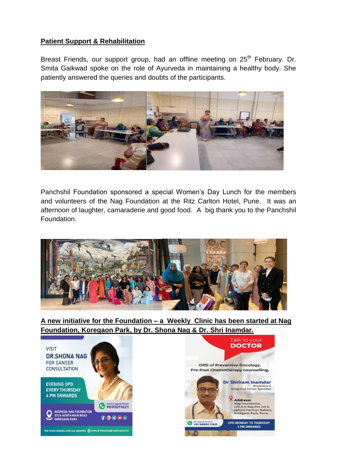# **Patient Support & Rehabilitation**

Breast Friends, our support group, had an offline meeting on 25<sup>th</sup> February. Dr. Smita Gaikwad spoke on the role of Ayurveda in maintaining a healthy body. She patiently answered the queries and doubts of the participants.



Panchshil Foundation sponsored a special Women's Day Lunch for the members and volunteers of the Nag Foundation at the Ritz Carlton Hotel, Pune. It was an afternoon of laughter, camaraderie and good food. A big thank you to the Panchshil Foundation.



**A new initiative for the Foundation – a Weekly Clinic has been started at Nag Foundation, Koregaon Park, by Dr. Shona Nag & Dr. Shri Inamdar.** 

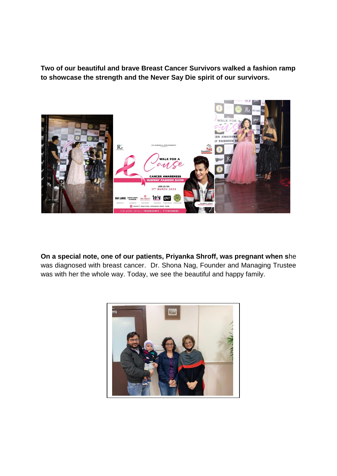**Two of our beautiful and brave Breast Cancer Survivors walked a fashion ramp to showcase the strength and the Never Say Die spirit of our survivors.** 



**On a special note, one of our patients, Priyanka Shroff, was pregnant when s**he was diagnosed with breast cancer. Dr. Shona Nag, Founder and Managing Trustee was with her the whole way. Today, we see the beautiful and happy family.